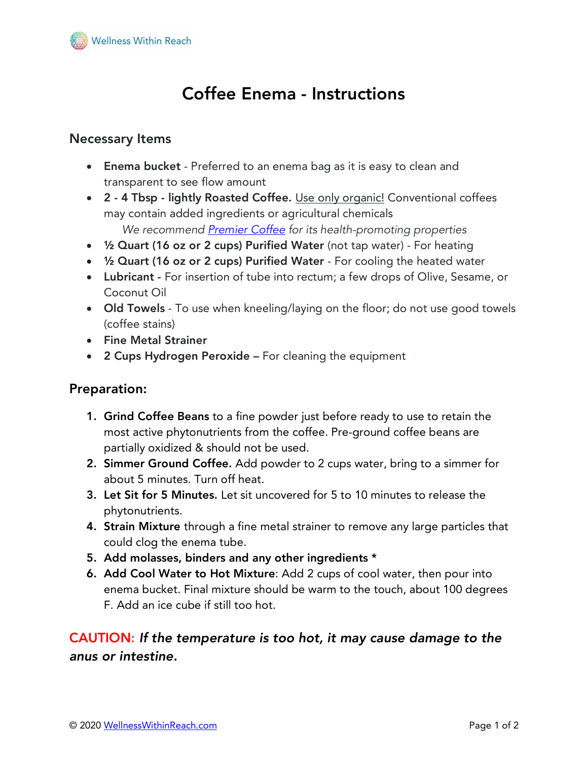

# Coffee Enema - Instructions

### Necessary Items

- Enema bucket Preferred to an enema bag as it is easy to clean and transparent to see flow amount
- 2 4 Tbsp lightly Roasted Coffee. Use only organic! Conventional coffees may contain added ingredients or agricultural chemicals  *We recommend Premier Coffee for its health-promoting properties*
- 1/2 Quart (16 oz or 2 cups) Purified Water (not tap water) For heating
- 1/2 Quart (16 oz or 2 cups) Purified Water For cooling the heated water
- Lubricant For insertion of tube into rectum; a few drops of Olive, Sesame, or Coconut Oil
- Old Towels To use when kneeling/laying on the floor; do not use good towels (coffee stains)
- Fine Metal Strainer
- 2 Cups Hydrogen Peroxide For cleaning the equipment

#### Preparation:

- 1. Grind Coffee Beans to a fine powder just before ready to use to retain the most active phytonutrients from the coffee. Pre-ground coffee beans are partially oxidized & should not be used.
- 2. Simmer Ground Coffee. Add powder to 2 cups water, bring to a simmer for about 5 minutes. Turn off heat.
- 3. Let Sit for 5 Minutes. Let sit uncovered for 5 to 10 minutes to release the phytonutrients.
- 4. Strain Mixture through a fine metal strainer to remove any large particles that could clog the enema tube.
- 5. Add molasses, binders and any other ingredients \*
- 6. Add Cool Water to Hot Mixture: Add 2 cups of cool water, then pour into enema bucket. Final mixture should be warm to the touch, about 100 degrees F. Add an ice cube if still too hot.

CAUTION: *If the temperature is too hot, it may cause damage to the anus or intestine.*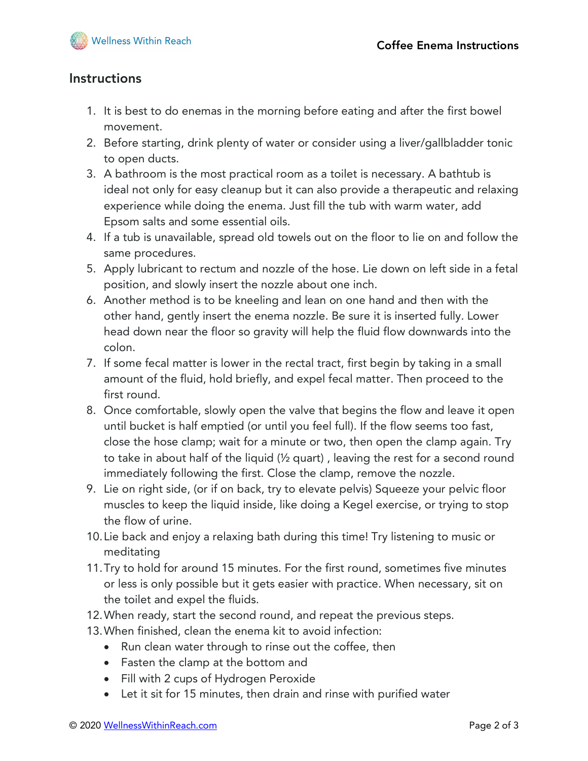

# **Instructions**

- 1. It is best to do enemas in the morning before eating and after the first bowel movement.
- 2. Before starting, drink plenty of water or consider using a liver/gallbladder tonic to open ducts.
- 3. A bathroom is the most practical room as a toilet is necessary. A bathtub is ideal not only for easy cleanup but it can also provide a therapeutic and relaxing experience while doing the enema. Just fill the tub with warm water, add Epsom salts and some essential oils.
- 4. If a tub is unavailable, spread old towels out on the floor to lie on and follow the same procedures.
- 5. Apply lubricant to rectum and nozzle of the hose. Lie down on left side in a fetal position, and slowly insert the nozzle about one inch.
- 6. Another method is to be kneeling and lean on one hand and then with the other hand, gently insert the enema nozzle. Be sure it is inserted fully. Lower head down near the floor so gravity will help the fluid flow downwards into the colon.
- 7. If some fecal matter is lower in the rectal tract, first begin by taking in a small amount of the fluid, hold briefly, and expel fecal matter. Then proceed to the first round.
- 8. Once comfortable, slowly open the valve that begins the flow and leave it open until bucket is half emptied (or until you feel full). If the flow seems too fast, close the hose clamp; wait for a minute or two, then open the clamp again. Try to take in about half of the liquid (½ quart) , leaving the rest for a second round immediately following the first. Close the clamp, remove the nozzle.
- 9. Lie on right side, (or if on back, try to elevate pelvis) Squeeze your pelvic floor muscles to keep the liquid inside, like doing a Kegel exercise, or trying to stop the flow of urine.
- 10.Lie back and enjoy a relaxing bath during this time! Try listening to music or meditating
- 11.Try to hold for around 15 minutes. For the first round, sometimes five minutes or less is only possible but it gets easier with practice. When necessary, sit on the toilet and expel the fluids.
- 12.When ready, start the second round, and repeat the previous steps.
- 13.When finished, clean the enema kit to avoid infection:
	- Run clean water through to rinse out the coffee, then
	- Fasten the clamp at the bottom and
	- Fill with 2 cups of Hydrogen Peroxide
	- Let it sit for 15 minutes, then drain and rinse with purified water